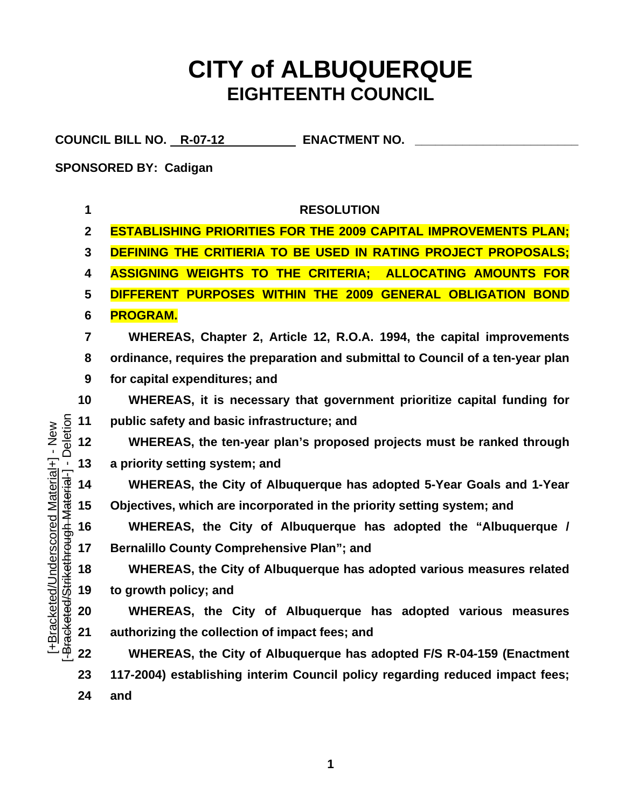## **CITY of ALBUQUERQUE EIGHTEENTH COUNCIL**

COUNCIL BILL NO. R-07-12 **ENACTMENT NO.** 

**SPONSORED BY: Cadigan** 

[+Bracketed/Underscored Material+] - New

+Bracketed/Underscored Material+] - New

**1 RESOLUTION 2 ESTABLISHING PRIORITIES FOR THE 2009 CAPITAL IMPROVEMENTS PLAN; 3 DEFINING THE CRITIERIA TO BE USED IN RATING PROJECT PROPOSALS; 4 ASSIGNING WEIGHTS TO THE CRITERIA; ALLOCATING AMOUNTS FOR 5 DIFFERENT PURPOSES WITHIN THE 2009 GENERAL OBLIGATION BOND 6 PROGRAM. 7 WHEREAS, Chapter 2, Article 12, R.O.A. 1994, the capital improvements 8 ordinance, requires the preparation and submittal to Council of a ten-year plan 9 for capital expenditures; and 10 WHEREAS, it is necessary that government prioritize capital funding for**  gh Material-] - Deletion Deletion **11 public safety and basic infrastructure; and 12 WHEREAS, the ten-year plan's proposed projects must be ranked through 13 a priority setting system; and 14 WHEREAS, the City of Albuquerque has adopted 5-Year Goals and 1-Year Objectives, which are incorporated in the priority setting system; and 15 16 WHEREAS, the City of Albuquerque has adopted the "Albuquerque /** [-Bracketed/Strikethrou **17 Bernalillo County Comprehensive Plan"; and WHEREAS, the City of Albuquerque has adopted various measures related 18 19 to growth policy; and WHEREAS, the City of Albuquerque has adopted various measures 20 21 authorizing the collection of impact fees; and 22 WHEREAS, the City of Albuquerque has adopted F/S R-04-159 (Enactment 23 117-2004) establishing interim Council policy regarding reduced impact fees; 24 and** 

**1**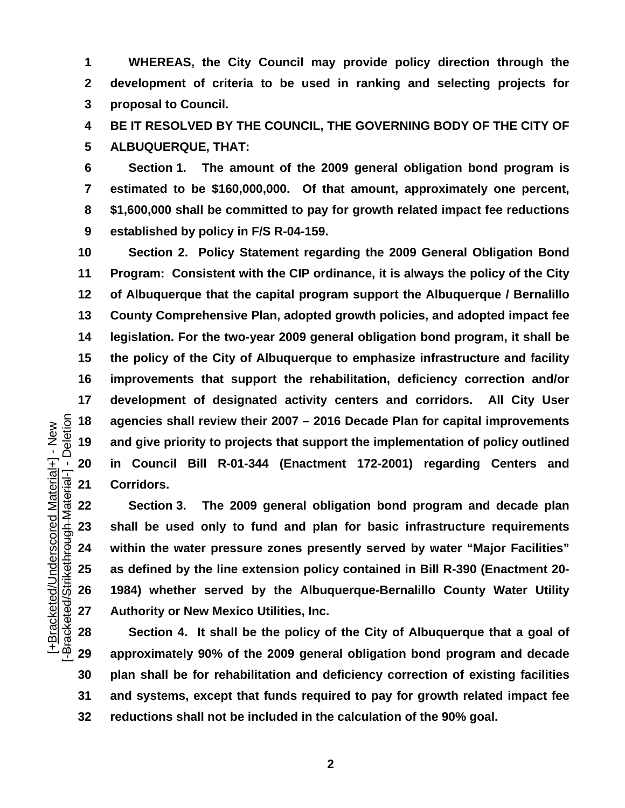**1 2 3 WHEREAS, the City Council may provide policy direction through the development of criteria to be used in ranking and selecting projects for proposal to Council.** 

**4 5 BE IT RESOLVED BY THE COUNCIL, THE GOVERNING BODY OF THE CITY OF ALBUQUERQUE, THAT:** 

**6 7 8 9 Section 1. The amount of the 2009 general obligation bond program is estimated to be \$160,000,000. Of that amount, approximately one percent, \$1,600,000 shall be committed to pay for growth related impact fee reductions established by policy in F/S R-04-159.** 

**10 11 12 13 14 15 16 17 18 19 20 21 Section 2. Policy Statement regarding the 2009 General Obligation Bond Program: Consistent with the CIP ordinance, it is always the policy of the City of Albuquerque that the capital program support the Albuquerque / Bernalillo County Comprehensive Plan, adopted growth policies, and adopted impact fee legislation. For the two-year 2009 general obligation bond program, it shall be the policy of the City of Albuquerque to emphasize infrastructure and facility improvements that support the rehabilitation, deficiency correction and/or development of designated activity centers and corridors. All City User agencies shall review their 2007 – 2016 Decade Plan for capital improvements and give priority to projects that support the implementation of policy outlined in Council Bill R-01-344 (Enactment 172-2001) regarding Centers and Corridors.** 

**Section 3. The 2009 general obligation bond program and decade plan shall be used only to fund and plan for basic infrastructure requirements within the water pressure zones presently served by water "Major Facilities" as defined by the line extension policy contained in Bill R-390 (Enactment 20- 1984) whether served by the Albuquerque-Bernalillo County Water Utility Authority or New Mexico Utilities, Inc.** 

**28 29 30 31 32 Section 4. It shall be the policy of the City of Albuquerque that a goal of approximately 90% of the 2009 general obligation bond program and decade plan shall be for rehabilitation and deficiency correction of existing facilities and systems, except that funds required to pay for growth related impact fee reductions shall not be included in the calculation of the 90% goal.**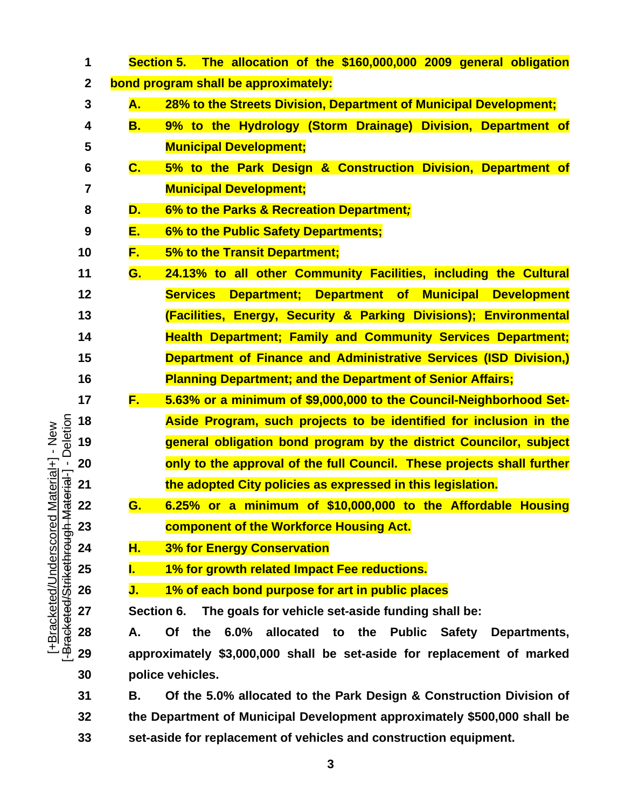|                                                                | 1               | Section 5. The allocation of the \$160,000,000 2009 general obligation                  |
|----------------------------------------------------------------|-----------------|-----------------------------------------------------------------------------------------|
|                                                                | $\mathbf{2}$    | bond program shall be approximately:                                                    |
|                                                                | 3               | 28% to the Streets Division, Department of Municipal Development;<br><b>A.</b>          |
|                                                                | 4               | 9% to the Hydrology (Storm Drainage) Division, Department of<br><b>B.</b>               |
|                                                                | 5               | <b>Municipal Development;</b>                                                           |
|                                                                | $6\phantom{1}6$ | $\mathbf{C}$ .<br>5% to the Park Design & Construction Division, Department of          |
|                                                                | 7               | <b>Municipal Development;</b>                                                           |
|                                                                | 8               | 6% to the Parks & Recreation Department;<br>D.                                          |
|                                                                | 9               | 6% to the Public Safety Departments;<br><u>E. </u>                                      |
|                                                                | 10              | <u>F. </u><br>5% to the Transit Department;                                             |
|                                                                | 11              | 24.13% to all other Community Facilities, including the Cultural<br>G.                  |
|                                                                | 12              | Department; Department of Municipal Development<br><b>Services</b>                      |
|                                                                | 13              | (Facilities, Energy, Security & Parking Divisions); Environmental                       |
|                                                                | 14              | <b>Health Department; Family and Community Services Department;</b>                     |
|                                                                | 15              | <b>Department of Finance and Administrative Services (ISD Division,)</b>                |
|                                                                | 16              | <b>Planning Department; and the Department of Senior Affairs;</b>                       |
|                                                                | 17              | F.<br>5.63% or a minimum of \$9,000,000 to the Council-Neighborhood Set-                |
| - Deletion<br>Material+] - New                                 | 18              | Aside Program, such projects to be identified for inclusion in the                      |
|                                                                | 19              | general obligation bond program by the district Councilor, subject                      |
|                                                                | 20              | only to the approval of the full Council. These projects shall further                  |
|                                                                | 21              | the adopted City policies as expressed in this legislation.                             |
|                                                                | 22              | 6.25% or a minimum of \$10,000,000 to the Affordable Housing<br>G.                      |
|                                                                | 23              | component of the Workforce Housing Act.                                                 |
|                                                                | 24              | <b>3% for Energy Conservation</b><br><u>H.</u>                                          |
|                                                                | 25              | 1% for growth related Impact Fee reductions.                                            |
|                                                                | 26              | 1% of each bond purpose for art in public places<br>J.                                  |
| -Bracketed/Strikethrough-Material-]<br>[+Bracketed/Underscored | 27              | Section 6.<br>The goals for vehicle set-aside funding shall be:                         |
|                                                                | 28              | the<br>6.0% allocated to the Public<br><b>Of</b><br><b>Safety</b><br>Departments,<br>А. |
|                                                                | 29              | approximately \$3,000,000 shall be set-aside for replacement of marked                  |
|                                                                | 30              | police vehicles.                                                                        |
|                                                                | 31              | Of the 5.0% allocated to the Park Design & Construction Division of<br>В.               |
|                                                                | 32              | the Department of Municipal Development approximately \$500,000 shall be                |
|                                                                | 33              | set-aside for replacement of vehicles and construction equipment.                       |

**3**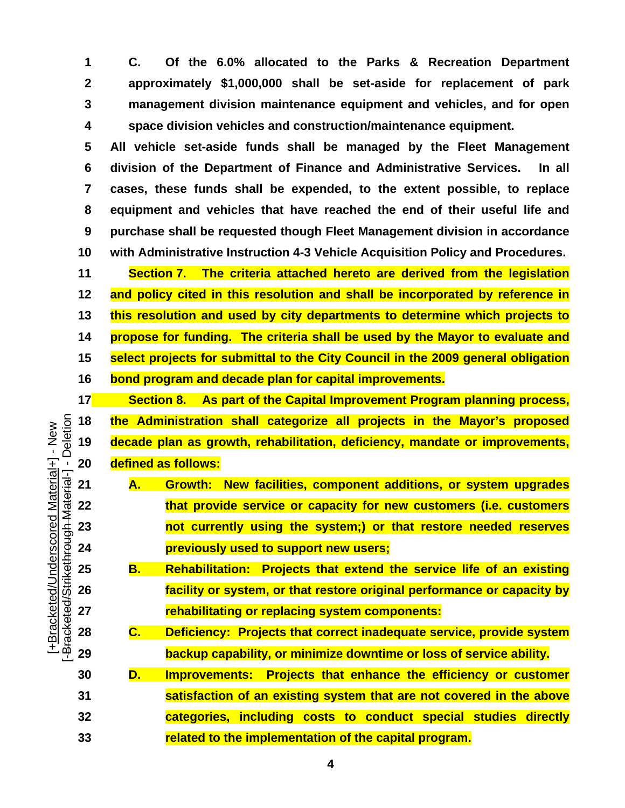**1 2 3 4 C. Of the 6.0% allocated to the Parks & Recreation Department approximately \$1,000,000 shall be set-aside for replacement of park management division maintenance equipment and vehicles, and for open space division vehicles and construction/maintenance equipment.** 

**5 6 7 8 9 10 All vehicle set-aside funds shall be managed by the Fleet Management division of the Department of Finance and Administrative Services. In all cases, these funds shall be expended, to the extent possible, to replace equipment and vehicles that have reached the end of their useful life and purchase shall be requested though Fleet Management division in accordance with Administrative Instruction 4-3 Vehicle Acquisition Policy and Procedures.** 

**11 Section 7. The criteria attached hereto are derived from the legislation 12 and policy cited in this resolution and shall be incorporated by reference in 13 this resolution and used by city departments to determine which projects to 14 propose for funding. The criteria shall be used by the Mayor to evaluate and 15 select projects for submittal to the City Council in the 2009 general obligation 16 bond program and decade plan for capital improvements.** 

**17 Section 8. As part of the Capital Improvement Program planning process, 18 the Administration shall categorize all projects in the Mayor's proposed 19 decade plan as growth, rehabilitation, deficiency, mandate or improvements, 20 defined as follows:** 

- **21 A. Growth: New facilities, component additions, or system upgrades 22 that provide service or capacity for new customers (i.e. customers 23 not currently using the system;) or that restore needed reserves 24 previously used to support new users;**
- **25 B. Rehabilitation: Projects that extend the service life of an existing 26 facility or system, or that restore original performance or capacity by 27 rehabilitating or replacing system components:**

**28 C. Deficiency: Projects that correct inadequate service, provide system 29 backup capability, or minimize downtime or loss of service ability.** 

**30 D. Improvements: Projects that enhance the efficiency or customer 31 satisfaction of an existing system that are not covered in the above 32 categories, including costs to conduct special studies directly 33 related to the implementation of the capital program.** 

gh Material-] - Deletion Deletion [+Bracketed/Underscored Material+] - New +Bracketed/Underscored Material+] - New Bracketed/Strikethrough Material -[-Bracketed/Strikethrou